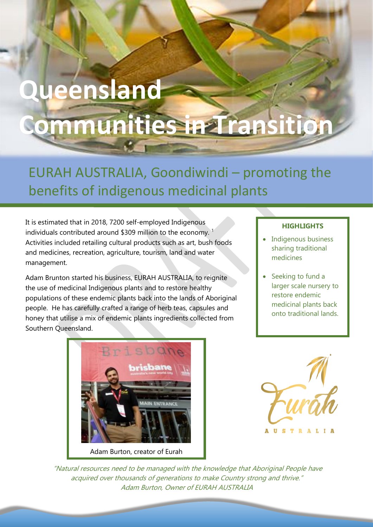## **Queensland Communities in Transition**

EURAH AUSTRALIA, Goondiwindi – promoting the benefits of indigenous medicinal plants

It is estimated that in 2018, 7200 self-employed Indigenous individuals contributed around \$309 million to the economy.<sup>1</sup> Activities included retailing cultural products such as art, bush foods and medicines, recreation, agriculture, tourism, land and water management.

Adam Brunton started his business, EURAH AUSTRALIA, to reignite the use of medicinal Indigenous plants and to restore healthy populations of these endemic plants back into the lands of Aboriginal people. He has carefully crafted a range of herb teas, capsules and honey that utilise a mix of endemic plants ingredients collected from Southern Queensland.

## risbane Adam Burton, creator of Eurah

## **HIGHLIGHTS**

- Indigenous business sharing traditional medicines
- Seeking to fund a larger scale nursery to restore endemic medicinal plants back onto traditional lands.



"Natural resources need to be managed with the knowledge that Aboriginal People have acquired over thousands of generations to make Country strong and thrive." Adam Burton, Owner of EURAH AUSTRALIA